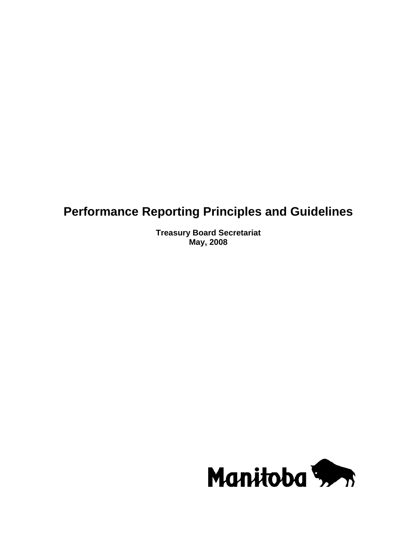### **Performance Reporting Principles and Guidelines**

**Treasury Board Secretariat May, 2008**

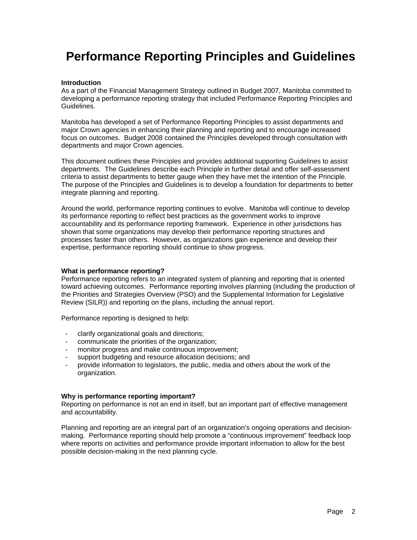### **Performance Reporting Principles and Guidelines**

#### **Introduction**

As a part of the Financial Management Strategy outlined in Budget 2007, Manitoba committed to developing a performance reporting strategy that included Performance Reporting Principles and Guidelines.

Manitoba has developed a set of Performance Reporting Principles to assist departments and major Crown agencies in enhancing their planning and reporting and to encourage increased focus on outcomes. Budget 2008 contained the Principles developed through consultation with departments and major Crown agencies.

This document outlines these Principles and provides additional supporting Guidelines to assist departments. The Guidelines describe each Principle in further detail and offer self-assessment criteria to assist departments to better gauge when they have met the intention of the Principle. The purpose of the Principles and Guidelines is to develop a foundation for departments to better integrate planning and reporting.

Around the world, performance reporting continues to evolve. Manitoba will continue to develop its performance reporting to reflect best practices as the government works to improve accountability and its performance reporting framework. Experience in other jurisdictions has shown that some organizations may develop their performance reporting structures and processes faster than others. However, as organizations gain experience and develop their expertise, performance reporting should continue to show progress.

#### **What is performance reporting?**

Performance reporting refers to an integrated system of planning and reporting that is oriented toward achieving outcomes. Performance reporting involves planning (including the production of the Priorities and Strategies Overview (PSO) and the Supplemental Information for Legislative Review (SILR)) and reporting on the plans, including the annual report.

Performance reporting is designed to help:

- clarify organizational goals and directions;
- communicate the priorities of the organization;
- monitor progress and make continuous improvement;
- support budgeting and resource allocation decisions; and
- provide information to legislators, the public, media and others about the work of the organization.

#### **Why is performance reporting important?**

Reporting on performance is not an end in itself, but an important part of effective management and accountability.

Planning and reporting are an integral part of an organization's ongoing operations and decisionmaking. Performance reporting should help promote a "continuous improvement" feedback loop where reports on activities and performance provide important information to allow for the best possible decision-making in the next planning cycle.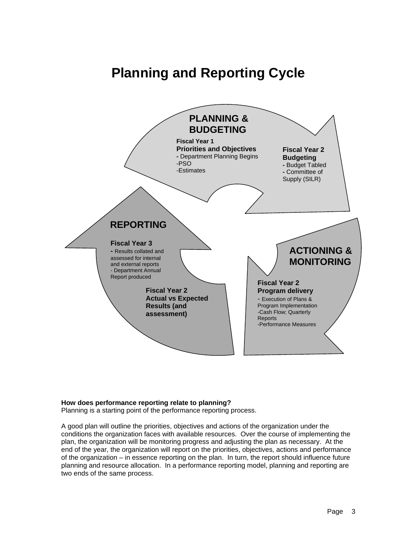# **Planning and Reporting Cycle**



#### **How does performance reporting relate to planning?**

Planning is a starting point of the performance reporting process.

A good plan will outline the priorities, objectives and actions of the organization under the conditions the organization faces with available resources. Over the course of implementing the plan, the organization will be monitoring progress and adjusting the plan as necessary. At the end of the year, the organization will report on the priorities, objectives, actions and performance of the organization – in essence reporting on the plan. In turn, the report should influence future planning and resource allocation. In a performance reporting model, planning and reporting are two ends of the same process.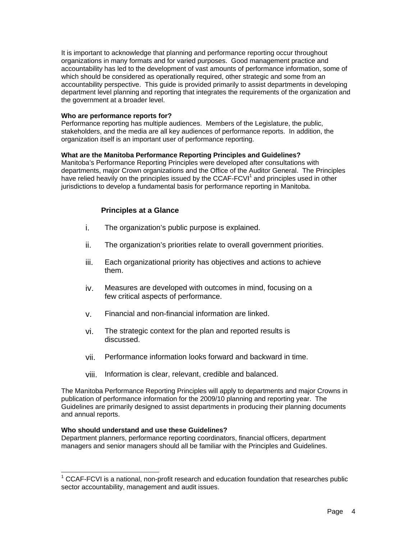It is important to acknowledge that planning and performance reporting occur throughout organizations in many formats and for varied purposes. Good management practice and accountability has led to the development of vast amounts of performance information, some of which should be considered as operationally required, other strategic and some from an accountability perspective. This guide is provided primarily to assist departments in developing department level planning and reporting that integrates the requirements of the organization and the government at a broader level.

#### **Who are performance reports for?**

Performance reporting has multiple audiences. Members of the Legislature, the public, stakeholders, and the media are all key audiences of performance reports. In addition, the organization itself is an important user of performance reporting.

#### **What are the Manitoba Performance Reporting Principles and Guidelines?**

Manitoba's Performance Reporting Principles were developed after consultations with departments, major Crown organizations and the Office of the Auditor General. The Principles have relied heavily on the principles issued by the CCAF-FCVI<sup>1</sup> [a](#page-3-0)nd principles used in other jurisdictions to develop a fundamental basis for performance reporting in Manitoba.

#### **Principles at a Glance**

- i. The organization's public purpose is explained.
- ii. The organization's priorities relate to overall government priorities.
- iii. Each organizational priority has objectives and actions to achieve them.
- iv. Measures are developed with outcomes in mind, focusing on a few critical aspects of performance.
- v. Financial and non-financial information are linked.
- vi. The strategic context for the plan and reported results is discussed.
- vii. Performance information looks forward and backward in time.
- viii. Information is clear, relevant, credible and balanced.

The Manitoba Performance Reporting Principles will apply to departments and major Crowns in publication of performance information for the 2009/10 planning and reporting year. The Guidelines are primarily designed to assist departments in producing their planning documents and annual reports.

#### **Who should understand and use these Guidelines?**

Department planners, performance reporting coordinators, financial officers, department managers and senior managers should all be familiar with the Principles and Guidelines.

<span id="page-3-0"></span><sup>————————————————————&</sup>lt;br><sup>1</sup> CCAF-FCVI is a national, non-profit research and education foundation that researches public sector accountability, management and audit issues.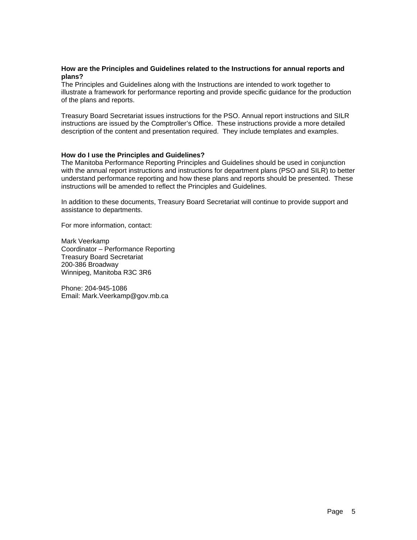#### **How are the Principles and Guidelines related to the Instructions for annual reports and plans?**

The Principles and Guidelines along with the Instructions are intended to work together to illustrate a framework for performance reporting and provide specific guidance for the production of the plans and reports.

Treasury Board Secretariat issues instructions for the PSO. Annual report instructions and SILR instructions are issued by the Comptroller's Office. These instructions provide a more detailed description of the content and presentation required. They include templates and examples.

#### **How do I use the Principles and Guidelines?**

The Manitoba Performance Reporting Principles and Guidelines should be used in conjunction with the annual report instructions and instructions for department plans (PSO and SILR) to better understand performance reporting and how these plans and reports should be presented. These instructions will be amended to reflect the Principles and Guidelines.

In addition to these documents, Treasury Board Secretariat will continue to provide support and assistance to departments.

For more information, contact:

Mark Veerkamp Coordinator – Performance Reporting Treasury Board Secretariat 200-386 Broadway Winnipeg, Manitoba R3C 3R6

Phone: 204-945-1086 Email: Mark.Veerkamp@gov.mb.ca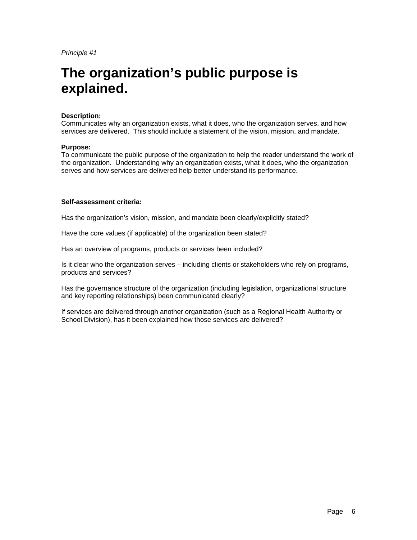# **The organization's public purpose is explained.**

#### **Description:**

Communicates why an organization exists, what it does, who the organization serves, and how services are delivered. This should include a statement of the vision, mission, and mandate.

#### **Purpose:**

To communicate the public purpose of the organization to help the reader understand the work of the organization. Understanding why an organization exists, what it does, who the organization serves and how services are delivered help better understand its performance.

#### **Self-assessment criteria:**

Has the organization's vision, mission, and mandate been clearly/explicitly stated?

Have the core values (if applicable) of the organization been stated?

Has an overview of programs, products or services been included?

Is it clear who the organization serves – including clients or stakeholders who rely on programs, products and services?

Has the governance structure of the organization (including legislation, organizational structure and key reporting relationships) been communicated clearly?

If services are delivered through another organization (such as a Regional Health Authority or School Division), has it been explained how those services are delivered?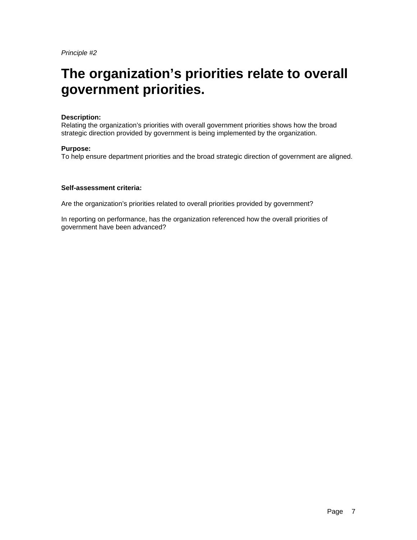# **The organization's priorities relate to overall government priorities.**

#### **Description:**

Relating the organization's priorities with overall government priorities shows how the broad strategic direction provided by government is being implemented by the organization.

#### **Purpose:**

To help ensure department priorities and the broad strategic direction of government are aligned.

#### **Self-assessment criteria:**

Are the organization's priorities related to overall priorities provided by government?

In reporting on performance, has the organization referenced how the overall priorities of government have been advanced?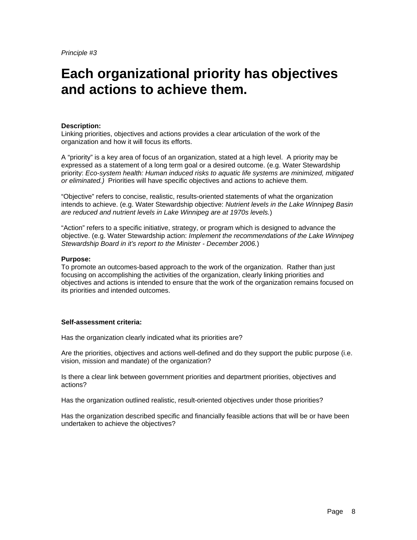# **Each organizational priority has objectives and actions to achieve them.**

#### **Description:**

Linking priorities, objectives and actions provides a clear articulation of the work of the organization and how it will focus its efforts.

A "priority" is a key area of focus of an organization, stated at a high level. A priority may be expressed as a statement of a long term goal or a desired outcome. (e.g. Water Stewardship priority: *Eco-system health: Human induced risks to aquatic life systems are minimized, mitigated or eliminated.)* Priorities will have specific objectives and actions to achieve them.

"Objective" refers to concise, realistic, results-oriented statements of what the organization intends to achieve. (e.g. Water Stewardship objective: *Nutrient levels in the Lake Winnipeg Basin are reduced and nutrient levels in Lake Winnipeg are at 1970s levels.*)

"Action" refers to a specific initiative, strategy, or program which is designed to advance the objective. (e.g. Water Stewardship action: *Implement the recommendations of the Lake Winnipeg Stewardship Board in it's report to the Minister - December 2006.*)

#### **Purpose:**

To promote an outcomes-based approach to the work of the organization. Rather than just focusing on accomplishing the activities of the organization, clearly linking priorities and objectives and actions is intended to ensure that the work of the organization remains focused on its priorities and intended outcomes.

#### **Self-assessment criteria:**

Has the organization clearly indicated what its priorities are?

Are the priorities, objectives and actions well-defined and do they support the public purpose (i.e. vision, mission and mandate) of the organization?

Is there a clear link between government priorities and department priorities, objectives and actions?

Has the organization outlined realistic, result-oriented objectives under those priorities?

Has the organization described specific and financially feasible actions that will be or have been undertaken to achieve the objectives?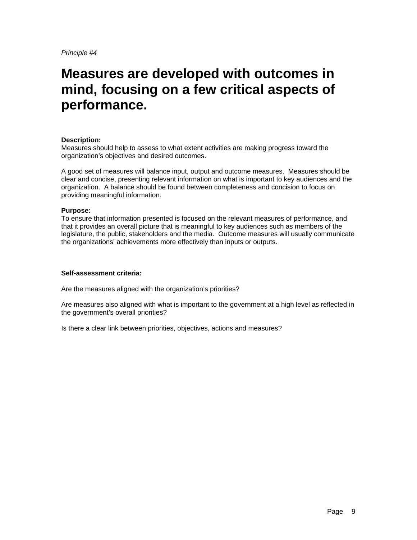### **Measures are developed with outcomes in mind, focusing on a few critical aspects of performance.**

#### **Description:**

Measures should help to assess to what extent activities are making progress toward the organization's objectives and desired outcomes.

A good set of measures will balance input, output and outcome measures. Measures should be clear and concise, presenting relevant information on what is important to key audiences and the organization. A balance should be found between completeness and concision to focus on providing meaningful information.

#### **Purpose:**

To ensure that information presented is focused on the relevant measures of performance, and that it provides an overall picture that is meaningful to key audiences such as members of the legislature, the public, stakeholders and the media. Outcome measures will usually communicate the organizations' achievements more effectively than inputs or outputs.

#### **Self-assessment criteria:**

Are the measures aligned with the organization's priorities?

Are measures also aligned with what is important to the government at a high level as reflected in the government's overall priorities?

Is there a clear link between priorities, objectives, actions and measures?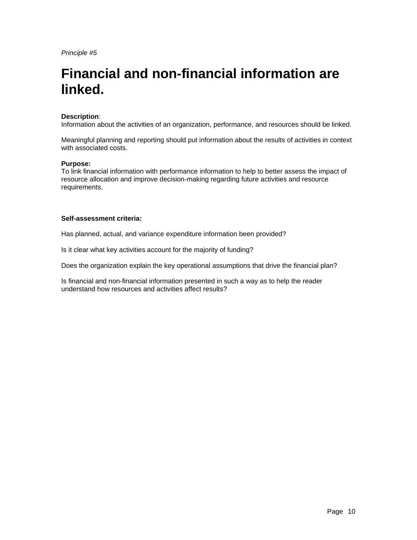# **Financial and non-financial information are linked.**

#### **Description**:

Information about the activities of an organization, performance, and resources should be linked.

Meaningful planning and reporting should put information about the results of activities in context with associated costs.

#### **Purpose:**

To link financial information with performance information to help to better assess the impact of resource allocation and improve decision-making regarding future activities and resource requirements.

#### **Self-assessment criteria:**

Has planned, actual, and variance expenditure information been provided?

Is it clear what key activities account for the majority of funding?

Does the organization explain the key operational assumptions that drive the financial plan?

Is financial and non-financial information presented in such a way as to help the reader understand how resources and activities affect results?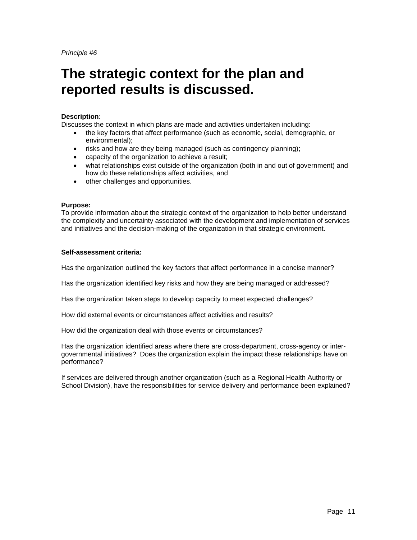### **The strategic context for the plan and reported results is discussed.**

#### **Description:**

Discusses the context in which plans are made and activities undertaken including:

- the key factors that affect performance (such as economic, social, demographic, or environmental);
- risks and how are they being managed (such as contingency planning);
- capacity of the organization to achieve a result;
- what relationships exist outside of the organization (both in and out of government) and how do these relationships affect activities, and
- other challenges and opportunities.

#### **Purpose:**

To provide information about the strategic context of the organization to help better understand the complexity and uncertainty associated with the development and implementation of services and initiatives and the decision-making of the organization in that strategic environment.

#### **Self-assessment criteria:**

Has the organization outlined the key factors that affect performance in a concise manner?

Has the organization identified key risks and how they are being managed or addressed?

Has the organization taken steps to develop capacity to meet expected challenges?

How did external events or circumstances affect activities and results?

How did the organization deal with those events or circumstances?

Has the organization identified areas where there are cross-department, cross-agency or intergovernmental initiatives? Does the organization explain the impact these relationships have on performance?

If services are delivered through another organization (such as a Regional Health Authority or School Division), have the responsibilities for service delivery and performance been explained?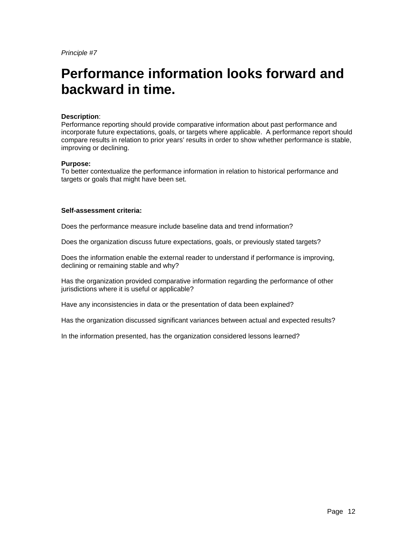## **Performance information looks forward and backward in time.**

#### **Description**:

Performance reporting should provide comparative information about past performance and incorporate future expectations, goals, or targets where applicable. A performance report should compare results in relation to prior years' results in order to show whether performance is stable, improving or declining.

#### **Purpose:**

To better contextualize the performance information in relation to historical performance and targets or goals that might have been set.

#### **Self-assessment criteria:**

Does the performance measure include baseline data and trend information?

Does the organization discuss future expectations, goals, or previously stated targets?

Does the information enable the external reader to understand if performance is improving, declining or remaining stable and why?

Has the organization provided comparative information regarding the performance of other jurisdictions where it is useful or applicable?

Have any inconsistencies in data or the presentation of data been explained?

Has the organization discussed significant variances between actual and expected results?

In the information presented, has the organization considered lessons learned?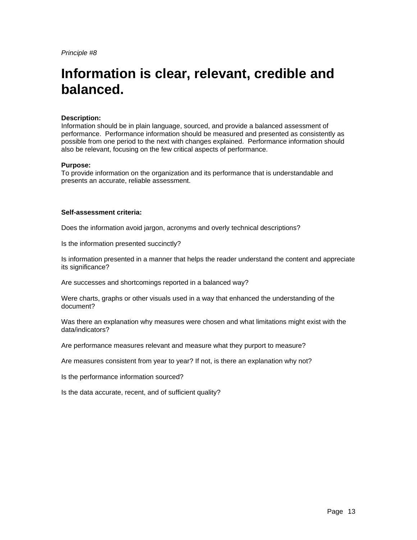# **Information is clear, relevant, credible and balanced.**

#### **Description:**

Information should be in plain language, sourced, and provide a balanced assessment of performance. Performance information should be measured and presented as consistently as possible from one period to the next with changes explained. Performance information should also be relevant, focusing on the few critical aspects of performance.

#### **Purpose:**

To provide information on the organization and its performance that is understandable and presents an accurate, reliable assessment.

#### **Self-assessment criteria:**

Does the information avoid jargon, acronyms and overly technical descriptions?

Is the information presented succinctly?

Is information presented in a manner that helps the reader understand the content and appreciate its significance?

Are successes and shortcomings reported in a balanced way?

Were charts, graphs or other visuals used in a way that enhanced the understanding of the document?

Was there an explanation why measures were chosen and what limitations might exist with the data/indicators?

Are performance measures relevant and measure what they purport to measure?

Are measures consistent from year to year? If not, is there an explanation why not?

Is the performance information sourced?

Is the data accurate, recent, and of sufficient quality?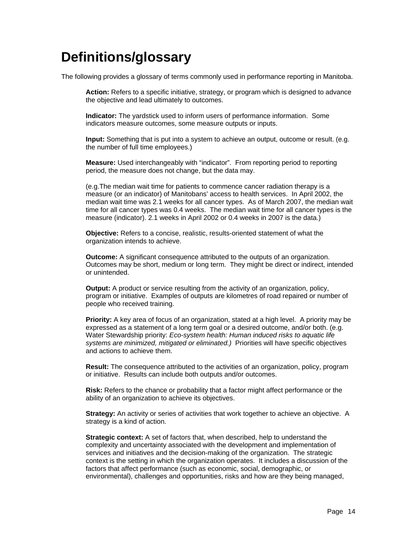# **Definitions/glossary**

The following provides a glossary of terms commonly used in performance reporting in Manitoba.

**Action:** Refers to a specific initiative, strategy, or program which is designed to advance the objective and lead ultimately to outcomes.

**Indicator:** The yardstick used to inform users of performance information. Some indicators measure outcomes, some measure outputs or inputs.

**Input:** Something that is put into a system to achieve an output, outcome or result. (e.g. the number of full time employees.)

**Measure:** Used interchangeably with "indicator". From reporting period to reporting period, the measure does not change, but the data may.

(e.g.The median wait time for patients to commence cancer radiation therapy is a measure (or an indicator) of Manitobans' access to health services. In April 2002, the median wait time was 2.1 weeks for all cancer types. As of March 2007, the median wait time for all cancer types was 0.4 weeks. The median wait time for all cancer types is the measure (indicator). 2.1 weeks in April 2002 or 0.4 weeks in 2007 is the data.)

**Objective:** Refers to a concise, realistic, results-oriented statement of what the organization intends to achieve.

**Outcome:** A significant consequence attributed to the outputs of an organization. Outcomes may be short, medium or long term. They might be direct or indirect, intended or unintended.

**Output:** A product or service resulting from the activity of an organization, policy, program or initiative. Examples of outputs are kilometres of road repaired or number of people who received training.

**Priority:** A key area of focus of an organization, stated at a high level. A priority may be expressed as a statement of a long term goal or a desired outcome, and/or both. (e.g. Water Stewardship priority: *Eco-system health: Human induced risks to aquatic life systems are minimized, mitigated or eliminated.)* Priorities will have specific objectives and actions to achieve them.

**Result:** The consequence attributed to the activities of an organization, policy, program or initiative. Results can include both outputs and/or outcomes.

**Risk:** Refers to the chance or probability that a factor might affect performance or the ability of an organization to achieve its objectives.

**Strategy:** An activity or series of activities that work together to achieve an objective. A strategy is a kind of action.

**Strategic context:** A set of factors that, when described, help to understand the complexity and uncertainty associated with the development and implementation of services and initiatives and the decision-making of the organization. The strategic context is the setting in which the organization operates. It includes a discussion of the factors that affect performance (such as economic, social, demographic, or environmental), challenges and opportunities, risks and how are they being managed,